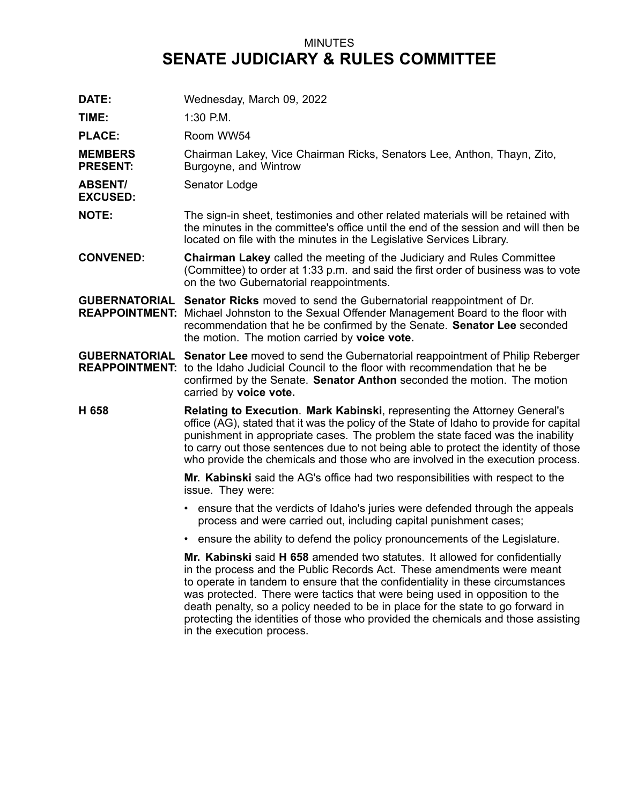## MINUTES **SENATE JUDICIARY & RULES COMMITTEE**

**DATE:** Wednesday, March 09, 2022 **TIME:** 1:30 P.M. PLACE: Room WW54 **MEMBERS PRESENT:** Chairman Lakey, Vice Chairman Ricks, Senators Lee, Anthon, Thayn, Zito, Burgoyne, and Wintrow **ABSENT/ EXCUSED:** Senator Lodge **NOTE:** The sign-in sheet, testimonies and other related materials will be retained with the minutes in the committee's office until the end of the session and will then be located on file with the minutes in the Legislative Services Library. **CONVENED: Chairman Lakey** called the meeting of the Judiciary and Rules Committee (Committee) to order at 1:33 p.m. and said the first order of business was to vote on the two Gubernatorial reappointments. **GUBERNATORIAL Senator Ricks** moved to send the Gubernatorial reappointment of Dr. **REAPPOINTMENT:** Michael Johnston to the Sexual Offender Management Board to the floor with recommendation that he be confirmed by the Senate. **Senator Lee** seconded the motion. The motion carried by **voice vote. GUBERNATORIAL Senator Lee** moved to send the Gubernatorial reappointment of Philip Reberger **REAPPOINTMENT:** to the Idaho Judicial Council to the floor with recommendation that he be confirmed by the Senate. **Senator Anthon** seconded the motion. The motion carried by **voice vote. H 658 Relating to Execution**. **Mark Kabinski**, representing the Attorney General's office (AG), stated that it was the policy of the State of Idaho to provide for capital punishment in appropriate cases. The problem the state faced was the inability to carry out those sentences due to not being able to protect the identity of those who provide the chemicals and those who are involved in the execution process. **Mr. Kabinski** said the AG's office had two responsibilities with respect to the issue. They were: • ensure that the verdicts of Idaho's juries were defended through the appeals process and were carried out, including capital punishment cases; • ensure the ability to defend the policy pronouncements of the Legislature. **Mr. Kabinski** said **H 658** amended two statutes. It allowed for confidentially in the process and the Public Records Act. These amendments were meant to operate in tandem to ensure that the confidentiality in these circumstances was protected. There were tactics that were being used in opposition to the death penalty, so <sup>a</sup> policy needed to be in place for the state to go forward in protecting the identities of those who provided the chemicals and those assisting in the execution process.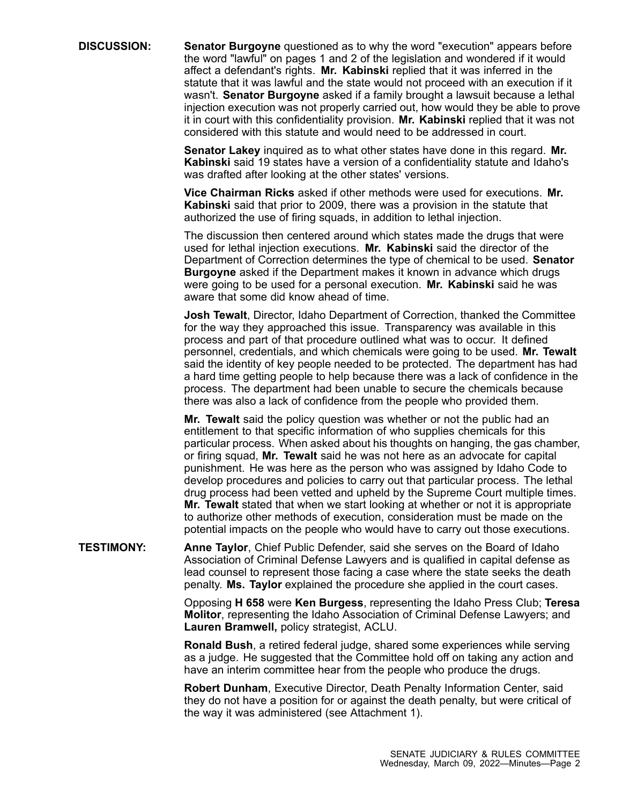**DISCUSSION: Senator Burgoyne** questioned as to why the word "execution" appears before the word "lawful" on pages 1 and 2 of the legislation and wondered if it would affect <sup>a</sup> defendant's rights. **Mr. Kabinski** replied that it was inferred in the statute that it was lawful and the state would not proceed with an execution if it wasn't. **Senator Burgoyne** asked if <sup>a</sup> family brought <sup>a</sup> lawsuit because <sup>a</sup> lethal injection execution was not properly carried out, how would they be able to prove it in court with this confidentiality provision. **Mr. Kabinski** replied that it was not considered with this statute and would need to be addressed in court.

> **Senator Lakey** inquired as to what other states have done in this regard. **Mr. Kabinski** said 19 states have <sup>a</sup> version of <sup>a</sup> confidentiality statute and Idaho's was drafted after looking at the other states' versions.

**Vice Chairman Ricks** asked if other methods were used for executions. **Mr. Kabinski** said that prior to 2009, there was <sup>a</sup> provision in the statute that authorized the use of firing squads, in addition to lethal injection.

The discussion then centered around which states made the drugs that were used for lethal injection executions. **Mr. Kabinski** said the director of the Department of Correction determines the type of chemical to be used. **Senator Burgoyne** asked if the Department makes it known in advance which drugs were going to be used for <sup>a</sup> personal execution. **Mr. Kabinski** said he was aware that some did know ahead of time.

**Josh Tewalt**, Director, Idaho Department of Correction, thanked the Committee for the way they approached this issue. Transparency was available in this process and part of that procedure outlined what was to occur. It defined personnel, credentials, and which chemicals were going to be used. **Mr. Tewalt** said the identity of key people needed to be protected. The department has had <sup>a</sup> hard time getting people to help because there was <sup>a</sup> lack of confidence in the process. The department had been unable to secure the chemicals because there was also <sup>a</sup> lack of confidence from the people who provided them.

**Mr. Tewalt** said the policy question was whether or not the public had an entitlement to that specific information of who supplies chemicals for this particular process. When asked about his thoughts on hanging, the gas chamber, or firing squad, **Mr. Tewalt** said he was not here as an advocate for capital punishment. He was here as the person who was assigned by Idaho Code to develop procedures and policies to carry out that particular process. The lethal drug process had been vetted and upheld by the Supreme Court multiple times. **Mr. Tewalt** stated that when we start looking at whether or not it is appropriate to authorize other methods of execution, consideration must be made on the potential impacts on the people who would have to carry out those executions.

**TESTIMONY: Anne Taylor**, Chief Public Defender, said she serves on the Board of Idaho Association of Criminal Defense Lawyers and is qualified in capital defense as lead counsel to represent those facing <sup>a</sup> case where the state seeks the death penalty. **Ms. Taylor** explained the procedure she applied in the court cases.

> Opposing **H 658** were **Ken Burgess**, representing the Idaho Press Club; **Teresa Molitor**, representing the Idaho Association of Criminal Defense Lawyers; and **Lauren Bramwell,** policy strategist, ACLU.

**Ronald Bush**, <sup>a</sup> retired federal judge, shared some experiences while serving as <sup>a</sup> judge. He suggested that the Committee hold off on taking any action and have an interim committee hear from the people who produce the drugs.

**Robert Dunham**, Executive Director, Death Penalty Information Center, said they do not have <sup>a</sup> position for or against the death penalty, but were critical of the way it was administered (see Attachment 1).